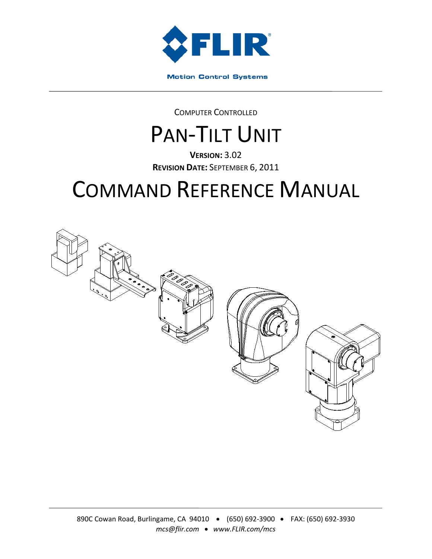

COMPUTER CONTROLLED

# PAN-TILT UNIT

**VERSION:** 3.02 **REVISION DATE:** SEPTEMBER 6, 2011

# COMMAND REFERENCE MANUAL

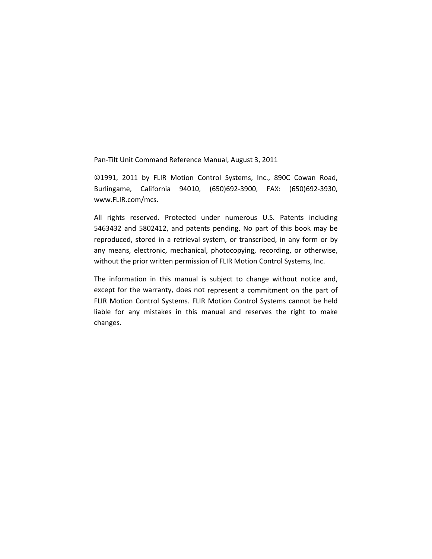Pan‐Tilt Unit Command Reference Manual, August 3, 2011

©1991, 2011 by FLIR Motion Control Systems, Inc., 890C Cowan Road, Burlingame, California 94010, (650)692‐3900, FAX: (650)692‐3930, www.FLIR.com/mcs.

All rights reserved. Protected under numerous U.S. Patents including 5463432 and 5802412, and patents pending. No part of this book may be reproduced, stored in a retrieval system, or transcribed, in any form or by any means, electronic, mechanical, photocopying, recording, or otherwise, without the prior written permission of FLIR Motion Control Systems, Inc.

The information in this manual is subject to change without notice and, except for the warranty, does not represent a commitment on the part of FLIR Motion Control Systems. FLIR Motion Control Systems cannot be held liable for any mistakes in this manual and reserves the right to make changes.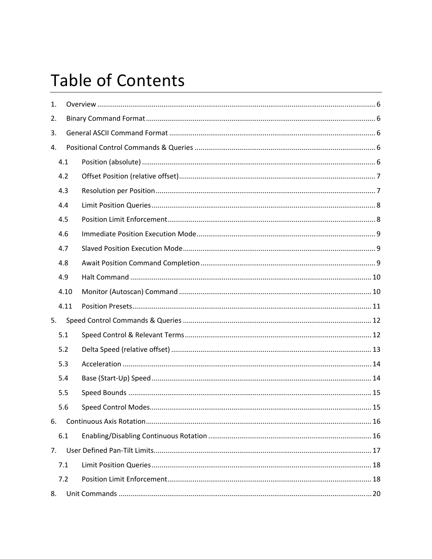# **Table of Contents**

| 1.             |      |  |  |  |  |  |
|----------------|------|--|--|--|--|--|
| 2.             |      |  |  |  |  |  |
| 3.             |      |  |  |  |  |  |
| 4.             |      |  |  |  |  |  |
|                | 4.1  |  |  |  |  |  |
|                | 4.2  |  |  |  |  |  |
|                | 4.3  |  |  |  |  |  |
|                | 4.4  |  |  |  |  |  |
|                | 4.5  |  |  |  |  |  |
|                | 4.6  |  |  |  |  |  |
|                | 4.7  |  |  |  |  |  |
|                | 4.8  |  |  |  |  |  |
|                | 4.9  |  |  |  |  |  |
|                | 4.10 |  |  |  |  |  |
|                | 4.11 |  |  |  |  |  |
| 5.             |      |  |  |  |  |  |
|                | 5.1  |  |  |  |  |  |
|                | 5.2  |  |  |  |  |  |
|                | 5.3  |  |  |  |  |  |
|                | 5.4  |  |  |  |  |  |
|                | 5.5  |  |  |  |  |  |
|                | 5.6  |  |  |  |  |  |
| 6.             |      |  |  |  |  |  |
|                | 6.1  |  |  |  |  |  |
| 7 <sub>1</sub> |      |  |  |  |  |  |
|                | 7.1  |  |  |  |  |  |
|                | 7.2  |  |  |  |  |  |
| 8.             |      |  |  |  |  |  |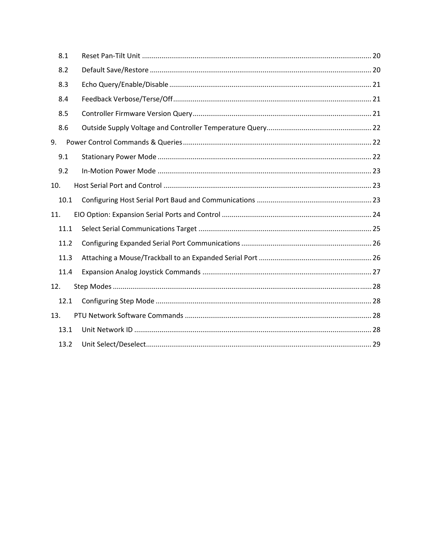| 8.1  |  |  |
|------|--|--|
| 8.2  |  |  |
| 8.3  |  |  |
| 8.4  |  |  |
| 8.5  |  |  |
| 8.6  |  |  |
| 9.   |  |  |
| 9.1  |  |  |
| 9.2  |  |  |
| 10.  |  |  |
| 10.1 |  |  |
| 11.  |  |  |
| 11.1 |  |  |
| 11.2 |  |  |
| 11.3 |  |  |
| 11.4 |  |  |
| 12.  |  |  |
| 12.1 |  |  |
| 13.  |  |  |
| 13.1 |  |  |
| 13.2 |  |  |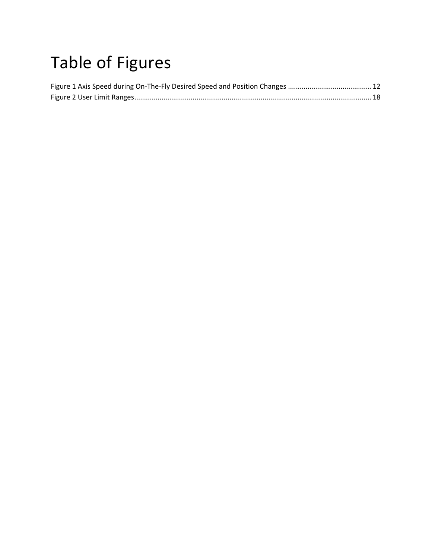# Table of Figures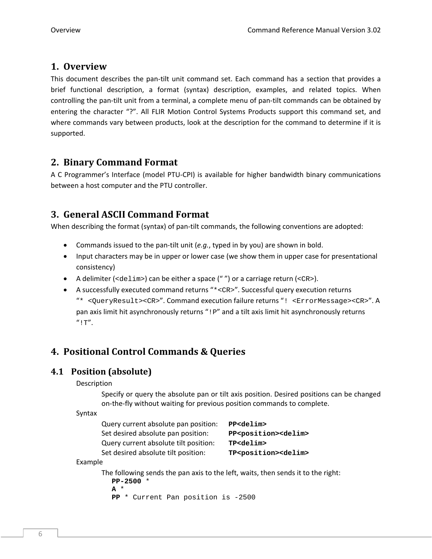# **1. Overview**

This document describes the pan‐tilt unit command set. Each command has a section that provides a brief functional description, a format (syntax) description, examples, and related topics. When controlling the pan‐tilt unit from a terminal, a complete menu of pan‐tilt commands can be obtained by entering the character "?". All FLIR Motion Control Systems Products support this command set, and where commands vary between products, look at the description for the command to determine if it is supported.

# **2. Binary Command Format**

A C Programmer's Interface (model PTU‐CPI) is available for higher bandwidth binary communications between a host computer and the PTU controller.

# **3. General ASCII Command Format**

When describing the format (syntax) of pan-tilt commands, the following conventions are adopted:

- Commands issued to the pan‐tilt unit (*e.g.*, typed in by you) are shown in bold.
- Input characters may be in upper or lower case (we show them in upper case for presentational consistency)
- A delimiter (<delim>) can be either a space ("") or a carriage return (<CR>).
- A successfully executed command returns "\*<CR>". Successful query execution returns "\* <QueryResult><CR>". Command execution failure returns "! <ErrorMessage><CR>". A pan axis limit hit asynchronously returns "! P" and a tilt axis limit hit asynchronously returns  $^{\prime\prime}$ ! T''.

# **4. Positional Control Commands & Queries**

# **4.1 Position (absolute)**

## Description

Specify or query the absolute pan or tilt axis position. Desired positions can be changed on-the-fly without waiting for previous position commands to complete.

## Syntax

| Query current absolute pan position:  | PP <delim></delim>                      |
|---------------------------------------|-----------------------------------------|
| Set desired absolute pan position:    | PP <position><delim></delim></position> |
| Query current absolute tilt position: | TP <delim></delim>                      |
| Set desired absolute tilt position:   | TP <position><delim></delim></position> |
|                                       |                                         |

#### Example

The following sends the pan axis to the left, waits, then sends it to the right: **PP-2500** \*

```
A *
```
**PP** \* Current Pan position is -2500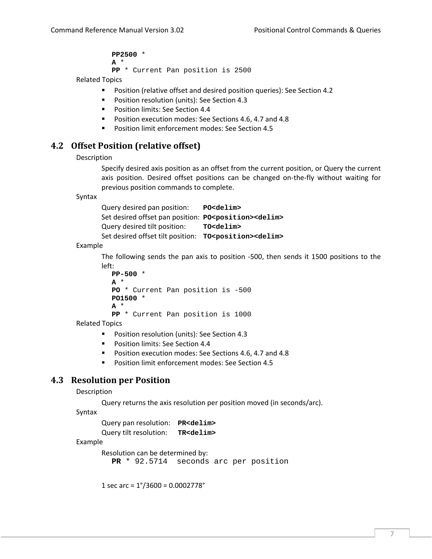**PP2500** \* **A** \* **PP** \* Current Pan position is 2500

Related Topics

- **Position (relative offset and desired position queries): See Section 4.2**
- **Position resolution (units): See Section 4.3**
- **Position limits: See Section 4.4**
- **Position execution modes: See Sections 4.6, 4.7 and 4.8**
- **Position limit enforcement modes: See Section 4.5**

# **4.2 Offset Position (relative offset)**

Description

Specify desired axis position as an offset from the current position, or Query the current axis position. Desired offset positions can be changed on‐the‐fly without waiting for previous position commands to complete.

Syntax

Query desired pan position: **PO<delim>** Set desired offset pan position: **PO<position><delim>** Query desired tilt position: **TO<delim>** Set desired offset tilt position:  $TO<$ position><delim>

Example

The following sends the pan axis to position -500, then sends it 1500 positions to the left:

```
PP-500 * 
A * 
PO * Current Pan position is -500 
PO1500 * 
A * 
PP * Current Pan position is 1000
```
Related Topics

- **Position resolution (units): See Section 4.3**
- **Position limits: See Section 4.4**
- **Position execution modes: See Sections 4.6, 4.7 and 4.8**
- **Position limit enforcement modes: See Section 4.5**

# **4.3 Resolution per Position**

Description

Query returns the axis resolution per position moved (in seconds/arc).

Syntax

Query pan resolution: **PR<delim>** Query tilt resolution: **TR<delim>**

#### Example

Resolution can be determined by:

**PR** \* 92.5714 seconds arc per position

1 sec arc = 1°/3600 = 0.0002778°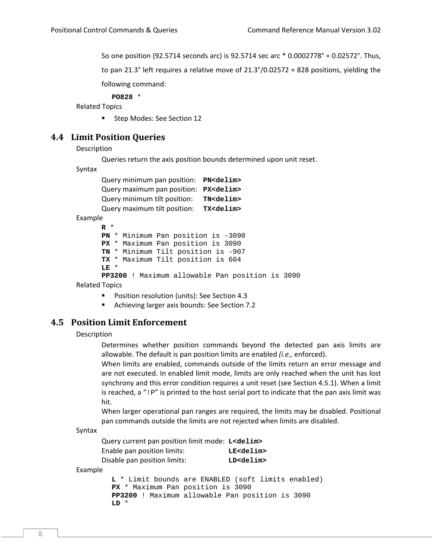So one position (92.5714 seconds arc) is 92.5714 sec arc \* 0.0002778° = 0.02572°. Thus,

to pan 21.3° left requires a relative move of 21.3°/0.02572  $\approx$  828 positions, yielding the

following command:

**PO828** \*

Related Topics

**Step Modes: See Section 12** 

## **4.4 Limit Position Queries**

Description

Queries return the axis position bounds determined upon unit reset.

Syntax

| Query minimum pan position: PN <delim></delim> |                    |
|------------------------------------------------|--------------------|
| Query maximum pan position: PX <delim></delim> |                    |
| Query minimum tilt position:                   | TN <delim></delim> |
| Query maximum tilt position:                   | TX <delim></delim> |
|                                                |                    |

Example

```
R * 
PN * Minimum Pan position is -3090 
PX * Maximum Pan position is 3090 
TN * Minimum Tilt position is -907 
TX * Maximum Tilt position is 604 
LE * 
PP3200 ! Maximum allowable Pan position is 3090
```
Related Topics

- **Position resolution (units): See Section 4.3**
- Achieving larger axis bounds: See Section 7.2

## **4.5 Position Limit Enforcement**

**LD** \*

Description

Determines whether position commands beyond the detected pan axis limits are allowable. The default is pan position limits are enabled *(i.e.,* enforced).

When limits are enabled, commands outside of the limits return an error message and are not executed. In enabled limit mode, limits are only reached when the unit has lost synchrony and this error condition requires a unit reset (see Section 4.5.1). When a limit is reached, a "!P" is printed to the host serial port to indicate that the pan axis limit was hit.

When larger operational pan ranges are required, the limits may be disabled. Positional pan commands outside the limits are not rejected when limits are disabled.

Syntax

|         | Query current pan position limit mode: L <delim></delim> |                                     |                    |  |  |                    |  |                                                    |
|---------|----------------------------------------------------------|-------------------------------------|--------------------|--|--|--------------------|--|----------------------------------------------------|
|         | Enable pan position limits:                              |                                     | LE <delim></delim> |  |  |                    |  |                                                    |
|         |                                                          | Disable pan position limits:        |                    |  |  | LD <delim></delim> |  |                                                    |
| Example |                                                          |                                     |                    |  |  |                    |  |                                                    |
|         |                                                          |                                     |                    |  |  |                    |  | L * Limit bounds are ENABLED (soft limits enabled) |
|         |                                                          | $PX *$ Maximum Pan position is 3090 |                    |  |  |                    |  |                                                    |

**PX** \* Maximum Pan position is 3090 **PP3200** ! Maximum allowable Pan position is 3090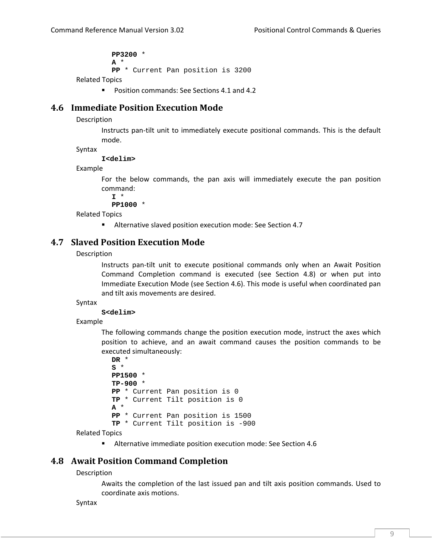**PP3200** \* **A** \* **PP** \* Current Pan position is 3200 Related Topics

**Position commands: See Sections 4.1 and 4.2** 

## **4.6 Immediate Position Execution Mode**

Description

Instructs pan‐tilt unit to immediately execute positional commands. This is the default mode.

Syntax

**I<delim>** 

Example

For the below commands, the pan axis will immediately execute the pan position command:

**I** \*

**PP1000** \*

Related Topics

Alternative slaved position execution mode: See Section 4.7

## **4.7 Slaved Position Execution Mode**

Description

Instructs pan‐tilt unit to execute positional commands only when an Await Position Command Completion command is executed (see Section 4.8) or when put into Immediate Execution Mode (see Section 4.6). This mode is useful when coordinated pan and tilt axis movements are desired.

Syntax

**S<delim>** 

Example

The following commands change the position execution mode, instruct the axes which position to achieve, and an await command causes the position commands to be executed simultaneously:

```
DR * 
S * 
PP1500 * 
TP-900 * 
PP * Current Pan position is 0 
TP * Current Tilt position is 0 
A * 
PP * Current Pan position is 1500 
TP * Current Tilt position is -900
```
Related Topics

Alternative immediate position execution mode: See Section 4.6

## **4.8 Await Position Command Completion**

Description

Awaits the completion of the last issued pan and tilt axis position commands. Used to coordinate axis motions.

Syntax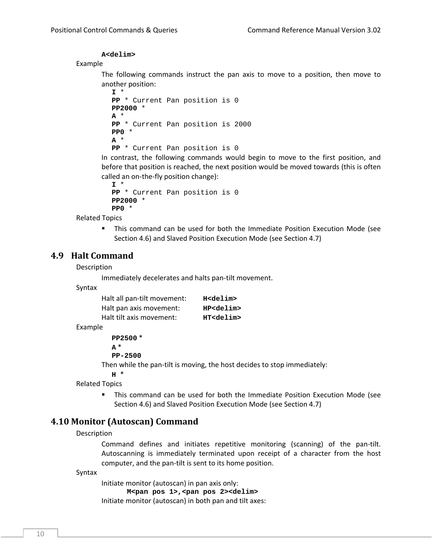### **A<delim>**

#### Example

The following commands instruct the pan axis to move to a position, then move to another position:

```
I * 
PP * Current Pan position is 0 
PP2000 * 
A * 
PP * Current Pan position is 2000 
PP0 * 
A * 
PP * Current Pan position is 0
```
In contrast, the following commands would begin to move to the first position, and before that position is reached, the next position would be moved towards (this is often called an on-the-fly position change):

```
I * 
PP * Current Pan position is 0 
PP2000 * 
PP0 *
```
Related Topics

 This command can be used for both the Immediate Position Execution Mode (see Section 4.6) and Slaved Position Execution Mode (see Section 4.7)

## **4.9 Halt Command**

#### Description

Immediately decelerates and halts pan‐tilt movement.

Syntax

| Halt all pan-tilt movement: | H <delim></delim>  |
|-----------------------------|--------------------|
| Halt pan axis movement:     | HP <delim></delim> |
| Halt tilt axis movement:    | HT <delim></delim> |

Example

| PP2500 *    |  |
|-------------|--|
| $\ast$<br>A |  |

**PP-2500** 

Then while the pan-tilt is moving, the host decides to stop immediately:

**H** \*

Related Topics

 This command can be used for both the Immediate Position Execution Mode (see Section 4.6) and Slaved Position Execution Mode (see Section 4.7)

## **4.10 Monitor (Autoscan) Command**

Description

Command defines and initiates repetitive monitoring (scanning) of the pan‐tilt. Autoscanning is immediately terminated upon receipt of a character from the host computer, and the pan‐tilt is sent to its home position.

Syntax

Initiate monitor (autoscan) in pan axis only: **M<pan pos 1>,<pan pos 2><delim>**  Initiate monitor (autoscan) in both pan and tilt axes: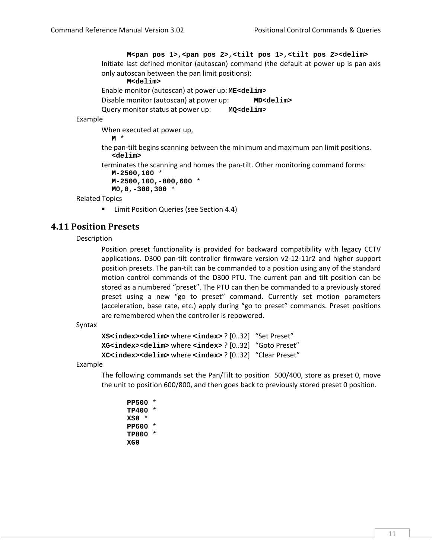**M<pan pos 1>,<pan pos 2>,<tilt pos 1>,<tilt pos 2><delim>**  Initiate last defined monitor (autoscan) command (the default at power up is pan axis only autoscan between the pan limit positions): **M<delim>**  Enable monitor (autoscan) at power up: **ME<delim>** Disable monitor (autoscan) at power up: **MD<delim>** Query monitor status at power up: **MQ<delim>** Example When executed at power up, **M** \* the pan‐tilt begins scanning between the minimum and maximum pan limit positions. **<delim>**  terminates the scanning and homes the pan‐tilt. Other monitoring command forms: **M-2500,100** \* **M-2500,100,-800,600** \* **M0,0,-300,300** \*

Related Topics

Limit Position Queries (see Section 4.4)

# **4.11 Position Presets**

Description

Position preset functionality is provided for backward compatibility with legacy CCTV applications. D300 pan‐tilt controller firmware version v2‐12‐11r2 and higher support position presets. The pan‐tilt can be commanded to a position using any of the standard motion control commands of the D300 PTU. The current pan and tilt position can be stored as a numbered "preset". The PTU can then be commanded to a previously stored preset using a new "go to preset" command. Currently set motion parameters (acceleration, base rate, etc.) apply during "go to preset" commands. Preset positions are remembered when the controller is repowered.

Syntax

```
XS<index><delim> where <index> ? [0..32]   "Set Preset"
XG<index><delim> where <index> ? [0..32]   "Goto Preset"
XC<index><delim> where <index> ? [0..32]   "Clear Preset"
```
Example

The following commands set the Pan/Tilt to position 500/400, store as preset 0, move the unit to position 600/800, and then goes back to previously stored preset 0 position.

**PP500** \* **TP400** \* **XS0** \* **PP600** \* **TP800** \* **XG0**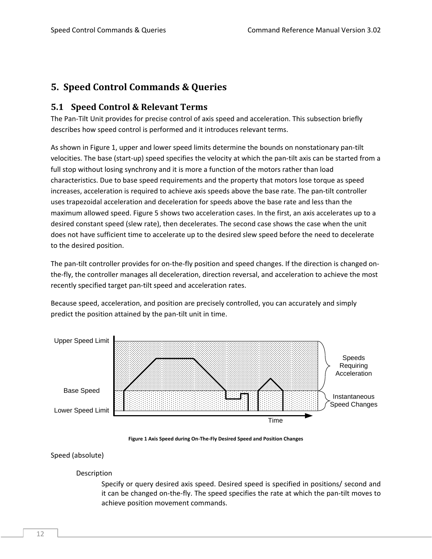# **5. Speed Control Commands & Queries**

# **5.1 Speed Control & Relevant Terms**

The Pan‐Tilt Unit provides for precise control of axis speed and acceleration. This subsection briefly describes how speed control is performed and it introduces relevant terms.

As shown in Figure 1, upper and lower speed limits determine the bounds on nonstationary pan‐tilt velocities. The base (start-up) speed specifies the velocity at which the pan-tilt axis can be started from a full stop without losing synchrony and it is more a function of the motors rather than load characteristics. Due to base speed requirements and the property that motors lose torque as speed increases, acceleration is required to achieve axis speeds above the base rate. The pan-tilt controller uses trapezoidal acceleration and deceleration for speeds above the base rate and less than the maximum allowed speed. Figure 5 shows two acceleration cases. In the first, an axis accelerates up to a desired constant speed (slew rate), then decelerates. The second case shows the case when the unit does not have sufficient time to accelerate up to the desired slew speed before the need to decelerate to the desired position.

The pan-tilt controller provides for on-the-fly position and speed changes. If the direction is changed onthe‐fly, the controller manages all deceleration, direction reversal, and acceleration to achieve the most recently specified target pan-tilt speed and acceleration rates.

Because speed, acceleration, and position are precisely controlled, you can accurately and simply predict the position attained by the pan‐tilt unit in time.



**Figure 1 Axis Speed during On‐The‐Fly Desired Speed and Position Changes**

## Speed (absolute)

## Description

Specify or query desired axis speed. Desired speed is specified in positions/ second and it can be changed on‐the‐fly. The speed specifies the rate at which the pan‐tilt moves to achieve position movement commands.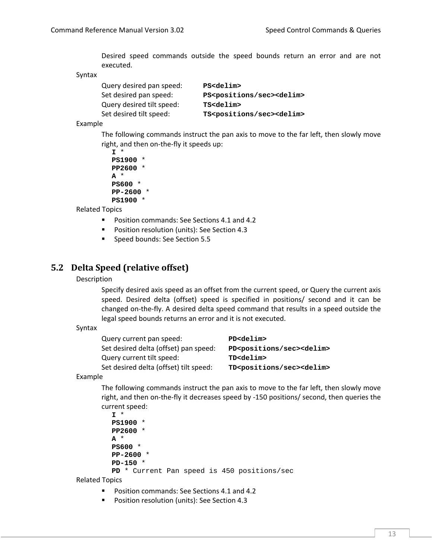Desired speed commands outside the speed bounds return an error and are not executed.

Syntax

Query desired pan speed: **PS<delim>** Set desired pan speed: PS<positions/sec><delim> Query desired tilt speed: **TS<delim>** Set desired tilt speed:  $TS<$ positions/sec><delim>

#### Example

The following commands instruct the pan axis to move to the far left, then slowly move right, and then on-the-fly it speeds up:

```
I * 
PS1900 * 
PP2600 * 
A * 
PS600 * 
PP-2600 * 
PS1900 *
```
Related Topics

- **Position commands: See Sections 4.1 and 4.2**
- **Position resolution (units): See Section 4.3**
- **Speed bounds: See Section 5.5**

## **5.2 Delta Speed (relative offset)**

Description

Specify desired axis speed as an offset from the current speed, or Query the current axis speed. Desired delta (offset) speed is specified in positions/ second and it can be changed on‐the‐fly. A desired delta speed command that results in a speed outside the legal speed bounds returns an error and it is not executed.

Syntax

| Query current pan speed:               | PD <delim></delim>                               |
|----------------------------------------|--------------------------------------------------|
| Set desired delta (offset) pan speed:  | PD <positions sec=""><delim></delim></positions> |
| Query current tilt speed:              | TD <delim></delim>                               |
| Set desired delta (offset) tilt speed: | TD <positions sec=""><delim></delim></positions> |

Example

The following commands instruct the pan axis to move to the far left, then slowly move right, and then on-the-fly it decreases speed by -150 positions/ second, then queries the current speed:

```
I * 
PS1900 * 
PP2600 * 
A * 
PS600 * 
PP-2600 * 
PD-150 * 
PD * Current Pan speed is 450 positions/sec
```
Related Topics

- Position commands: See Sections 4.1 and 4.2
- **Position resolution (units): See Section 4.3**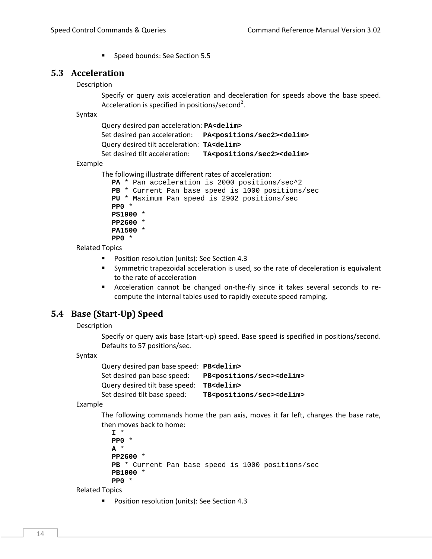Speed bounds: See Section 5.5

## **5.3 Acceleration**

### Description

Specify or query axis acceleration and deceleration for speeds above the base speed. Acceleration is specified in positions/second<sup>2</sup>.

Syntax

```
Query desired pan acceleration: PA<delim> 
Set desired pan acceleration:   PA<positions/sec2><delim>
Query desired tilt acceleration:  TA<delim>
Set desired tilt acceleration:    TA<positions/sec2><delim>
```
Example

```
The following illustrate different rates of acceleration:
```

```
PA * Pan acceleration is 2000 positions/sec^2 
PB * Current Pan base speed is 1000 positions/sec 
PU * Maximum Pan speed is 2902 positions/sec 
PP0 * 
PS1900 * 
PP2600 * 
PA1500 * 
PP0 *
```
Related Topics

- **Position resolution (units): See Section 4.3**
- Symmetric trapezoidal acceleration is used, so the rate of deceleration is equivalent to the rate of acceleration
- Acceleration cannot be changed on-the-fly since it takes several seconds to recompute the internal tables used to rapidly execute speed ramping.

# **5.4 Base (Start‐Up) Speed**

#### Description

Specify or query axis base (start‐up) speed. Base speed is specified in positions/second. Defaults to 57 positions/sec.

#### Syntax

Query desired pan base speed: **PB<delim>** Set desired pan base speed: **PB<positions/sec><delim>** Query desired tilt base speed: **TB<delim>** Set desired tilt base speed: TB<positions/sec><delim>

Example

The following commands home the pan axis, moves it far left, changes the base rate, then moves back to home:

```
I * 
PP0 * 
A * 
PP2600 * 
PB * Current Pan base speed is 1000 positions/sec 
PB1000 * 
PP0 *
```
Related Topics

**Position resolution (units): See Section 4.3**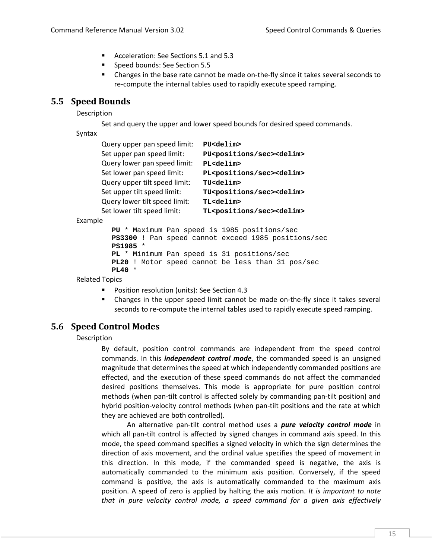- Acceleration: See Sections 5.1 and 5.3
- **Speed bounds: See Section 5.5**
- Changes in the base rate cannot be made on-the-fly since it takes several seconds to re-compute the internal tables used to rapidly execute speed ramping.

## **5.5 Speed Bounds**

Description

Set and query the upper and lower speed bounds for desired speed commands.

Syntax

| Query upper pan speed limit:  | PU <delim></delim>                               |
|-------------------------------|--------------------------------------------------|
| Set upper pan speed limit:    | PU <positions sec=""><delim></delim></positions> |
| Query lower pan speed limit:  | PL <delim></delim>                               |
| Set lower pan speed limit:    | PL <positions sec=""><delim></delim></positions> |
| Query upper tilt speed limit: | TU <delim></delim>                               |
| Set upper tilt speed limit:   | TU <positions sec=""><delim></delim></positions> |
| Query lower tilt speed limit: | TL <delim></delim>                               |
| Set lower tilt speed limit:   | TL <positions sec=""><delim></delim></positions> |

Example

```
PU * Maximum Pan speed is 1985 positions/sec 
PS3300 ! Pan speed cannot exceed 1985 positions/sec 
PS1985 * 
PL * Minimum Pan speed is 31 positions/sec 
PL20 ! Motor speed cannot be less than 31 pos/sec 
PL40 *
```
Related Topics

- Position resolution (units): See Section 4.3
- Changes in the upper speed limit cannot be made on‐the‐fly since it takes several seconds to re-compute the internal tables used to rapidly execute speed ramping.

# **5.6 Speed Control Modes**

Description

By default, position control commands are independent from the speed control commands. In this *independent control mode*, the commanded speed is an unsigned magnitude that determines the speed at which independently commanded positions are effected, and the execution of these speed commands do not affect the commanded desired positions themselves. This mode is appropriate for pure position control methods (when pan‐tilt control is affected solely by commanding pan‐tilt position) and hybrid position-velocity control methods (when pan-tilt positions and the rate at which they are achieved are both controlled).

An alternative pan‐tilt control method uses a *pure velocity control mode* in which all pan-tilt control is affected by signed changes in command axis speed. In this mode, the speed command specifies a signed velocity in which the sign determines the direction of axis movement, and the ordinal value specifies the speed of movement in this direction. In this mode, if the commanded speed is negative, the axis is automatically commanded to the minimum axis position. Conversely, if the speed command is positive, the axis is automatically commanded to the maximum axis position. A speed of zero is applied by halting the axis motion. *It is important to note that in pure velocity control mode, a speed command for a given axis effectively*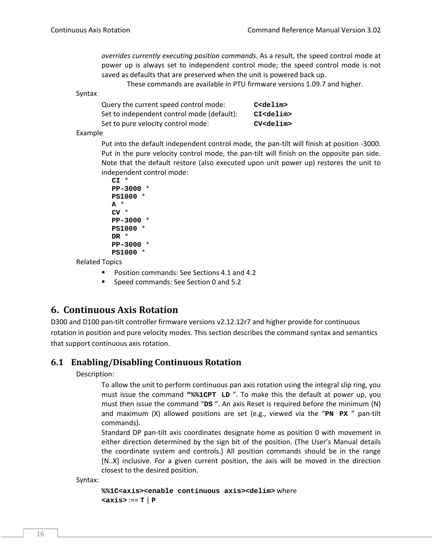*overrides currently executing position commands*. As a result, the speed control mode at power up is always set to independent control mode; the speed control mode is not saved as defaults that are preserved when the unit is powered back up.

These commands are available in PTU firmware versions 1.09.7 and higher.

Syntax

| Query the current speed control mode:      | $C$ <delim></delim> |
|--------------------------------------------|---------------------|
| Set to independent control mode (default): | CI <delim></delim>  |
| Set to pure velocity control mode:         | CV <delim></delim>  |

Example

Put into the default independent control mode, the pan‐tilt will finish at position ‐3000. Put in the pure velocity control mode, the pan‐tilt will finish on the opposite pan side. Note that the default restore (also executed upon unit power up) restores the unit to independent control mode:

```
CI * 
PP-3000 * 
PS1000 * 
A * 
CV * 
PP-3000 * 
PS1000 * 
DR * 
PP-3000 * 
PS1000 *
```
Related Topics

- **Position commands: See Sections 4.1 and 4.2**
- **Speed commands: See Section 0 and 5.2**

# **6. Continuous Axis Rotation**

D300 and D100 pan-tilt controller firmware versions v2.12.12r7 and higher provide for continuous rotation in position and pure velocity modes. This section describes the command syntax and semantics that support continuous axis rotation.

## **6.1 Enabling/Disabling Continuous Rotation**

Description:

To allow the unit to perform continuous pan axis rotation using the integral slip ring, you must issue the command **"%%1CPT LD** ". To make this the default at power up, you must then issue the command "**DS** ". An axis Reset is required before the minimum (N) and maximum (X) allowed positions are set (e.g., viewed via the "**PN PX** " pan‐tilt commands).

Standard DP pan‐tilt axis coordinates designate home as position 0 with movement in either direction determined by the sign bit of the position. (The User's Manual details the coordinate system and controls.) All position commands should be in the range [N..X] inclusive. For a given current position, the axis will be moved in the direction closest to the desired position.

Syntax:

```
%%1C<axis><enable continuous axis><delim> where
<axis> :== T | P
```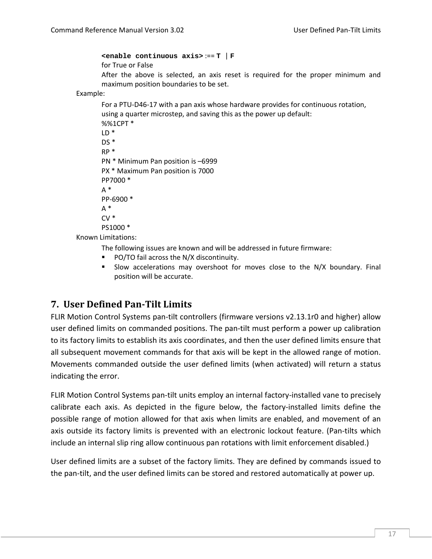**<enable continuous axis>** :== **T** | **F** for True or False After the above is selected, an axis reset is required for the proper minimum and maximum position boundaries to be set.

Example:

```
For a PTU‐D46‐17 with a pan axis whose hardware provides for continuous rotation,
       using a quarter microstep, and saving this as the power up default:
       %%1CPT *
       LD *
       DS*RP *
       PN * Minimum Pan position is –6999
       PX * Maximum Pan position is 7000
       PP7000 *
       A^*PP‐6900 *
       A^*CV *
       PS1000 *
Known Limitations:
```
The following issues are known and will be addressed in future firmware:

- PO/TO fail across the N/X discontinuity.
- Slow accelerations may overshoot for moves close to the N/X boundary. Final position will be accurate.

# **7. User Defined Pan‐Tilt Limits**

FLIR Motion Control Systems pan‐tilt controllers (firmware versions v2.13.1r0 and higher) allow user defined limits on commanded positions. The pan‐tilt must perform a power up calibration to its factory limits to establish its axis coordinates, and then the user defined limits ensure that all subsequent movement commands for that axis will be kept in the allowed range of motion. Movements commanded outside the user defined limits (when activated) will return a status indicating the error.

FLIR Motion Control Systems pan-tilt units employ an internal factory-installed vane to precisely calibrate each axis. As depicted in the figure below, the factory-installed limits define the possible range of motion allowed for that axis when limits are enabled, and movement of an axis outside its factory limits is prevented with an electronic lockout feature. (Pan-tilts which include an internal slip ring allow continuous pan rotations with limit enforcement disabled.)

User defined limits are a subset of the factory limits. They are defined by commands issued to the pan‐tilt, and the user defined limits can be stored and restored automatically at power up.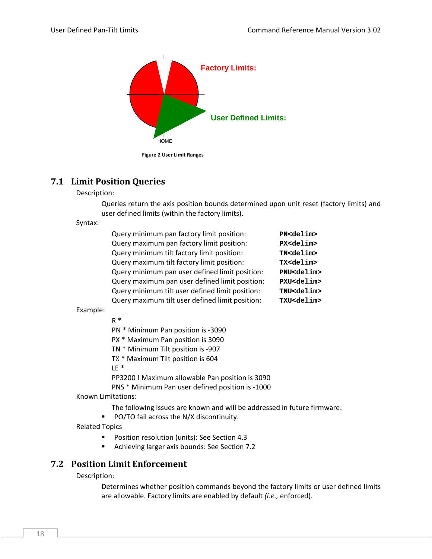

# **7.1 Limit Position Queries**

Description:

Queries return the axis position bounds determined upon unit reset (factory limits) and user defined limits (within the factory limits).

Syntax:

| Query minimum pan factory limit position:       | PN <delim></delim>  |
|-------------------------------------------------|---------------------|
|                                                 |                     |
| Query maximum pan factory limit position:       | PX <delim></delim>  |
| Query minimum tilt factory limit position:      | TN <delim></delim>  |
| Query maximum tilt factory limit position:      | TX <delim></delim>  |
| Query minimum pan user defined limit position:  | PNU <delim></delim> |
| Query maximum pan user defined limit position:  | PXU <delim></delim> |
| Query minimum tilt user defined limit position: | TNU <delim></delim> |
| Query maximum tilt user defined limit position: | TXU <delim></delim> |
|                                                 |                     |

Example:

R \*

PN \* Minimum Pan position is ‐3090

PX \* Maximum Pan position is 3090

TN \* Minimum Tilt position is ‐907

TX \* Maximum Tilt position is 604

LE \*

PP3200 ! Maximum allowable Pan position is 3090

PNS \* Minimum Pan user defined position is ‐1000

Known Limitations:

The following issues are known and will be addressed in future firmware:

**PO/TO fail across the N/X discontinuity.** 

Related Topics

**Position resolution (units): See Section 4.3** 

Achieving larger axis bounds: See Section 7.2

# **7.2 Position Limit Enforcement**

Description:

Determines whether position commands beyond the factory limits or user defined limits are allowable. Factory limits are enabled by default *(i.e.,* enforced).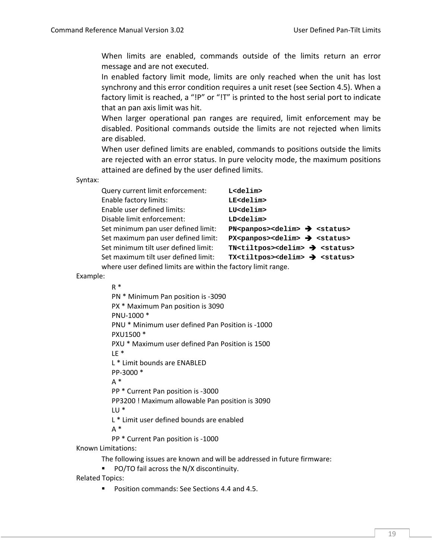When limits are enabled, commands outside of the limits return an error message and are not executed.

In enabled factory limit mode, limits are only reached when the unit has lost synchrony and this error condition requires a unit reset (see Section 4.5). When a factory limit is reached, a "!P" or "!T" is printed to the host serial port to indicate that an pan axis limit was hit.

When larger operational pan ranges are required, limit enforcement may be disabled. Positional commands outside the limits are not rejected when limits are disabled.

When user defined limits are enabled, commands to positions outside the limits are rejected with an error status. In pure velocity mode, the maximum positions attained are defined by the user defined limits.

Syntax:

| Query current limit enforcement:                              | L <delim></delim>                                                               |  |
|---------------------------------------------------------------|---------------------------------------------------------------------------------|--|
| Enable factory limits:                                        | LE <delim></delim>                                                              |  |
| Enable user defined limits:                                   | LU <delim></delim>                                                              |  |
| Disable limit enforcement:                                    | LD <delim></delim>                                                              |  |
| Set minimum pan user defined limit:                           | $PN$ <panpos><delim><math>\rightarrow</math> <status></status></delim></panpos> |  |
| Set maximum pan user defined limit:                           | $PX$ <panpos><delim><math>\rightarrow</math> <status></status></delim></panpos> |  |
| Set minimum tilt user defined limit:                          | $TN < t$ iltpos> <delim> <math>\rightarrow</math> <status></status></delim>     |  |
| Set maximum tilt user defined limit:                          | $TX < tiltpos > deline > \text{ } < status >$                                   |  |
| where user defined limits are within the factory limit range. |                                                                                 |  |

Example:

R \* PN \* Minimum Pan position is ‐3090 PX \* Maximum Pan position is 3090 PNU‐1000 \* PNU \* Minimum user defined Pan Position is ‐1000 PXU1500 \* PXU \* Maximum user defined Pan Position is 1500 LE \* L \* Limit bounds are ENABLED PP‐3000 \*  $A^*$ PP \* Current Pan position is ‐3000 PP3200 ! Maximum allowable Pan position is 3090 LU \* L \* Limit user defined bounds are enabled  $A^*$ 

PP \* Current Pan position is ‐1000

Known Limitations:

The following issues are known and will be addressed in future firmware:

**PO/TO fail across the N/X discontinuity.** 

Related Topics:

Position commands: See Sections 4.4 and 4.5.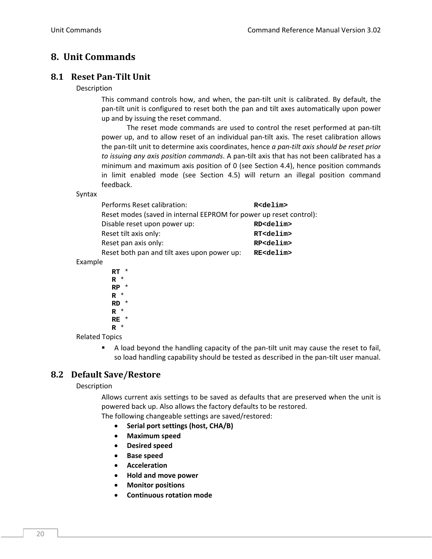# **8. Unit Commands**

# **8.1 Reset Pan‐Tilt Unit**

## Description

This command controls how, and when, the pan‐tilt unit is calibrated. By default, the pan‐tilt unit is configured to reset both the pan and tilt axes automatically upon power up and by issuing the reset command.

The reset mode commands are used to control the reset performed at pan-tilt power up, and to allow reset of an individual pan‐tilt axis. The reset calibration allows the pan‐tilt unit to determine axis coordinates, hence *a pan‐tilt axis should be reset prior to issuing any axis position commands*. A pan‐tilt axis that has not been calibrated has a minimum and maximum axis position of 0 (see Section 4.4), hence position commands in limit enabled mode (see Section 4.5) will return an illegal position command feedback.

#### Syntax

| Performs Reset calibration:                                        | R <delim></delim>  |  |
|--------------------------------------------------------------------|--------------------|--|
| Reset modes (saved in internal EEPROM for power up reset control): |                    |  |
| Disable reset upon power up:                                       | RD <delim></delim> |  |
| Reset tilt axis only:                                              | RT <delim></delim> |  |
| Reset pan axis only:                                               | RP <delim></delim> |  |
| Reset both pan and tilt axes upon power up:                        | RE <delim></delim> |  |
|                                                                    |                    |  |

Example

**RT** \* **R** \* **RP** \* **R** \* **RD** \* **R** \* **RE** \* **R** \*

Related Topics

■ A load beyond the handling capacity of the pan-tilt unit may cause the reset to fail, so load handling capability should be tested as described in the pan-tilt user manual.

# **8.2 Default Save/Restore**

## Description

Allows current axis settings to be saved as defaults that are preserved when the unit is powered back up. Also allows the factory defaults to be restored.

The following changeable settings are saved/restored:

- **Serial port settings (host, CHA/B)**
- **Maximum speed**
- **Desired speed**
- **Base speed**
- **Acceleration**
- **Hold and move power**
- **Monitor positions**
- **Continuous rotation mode**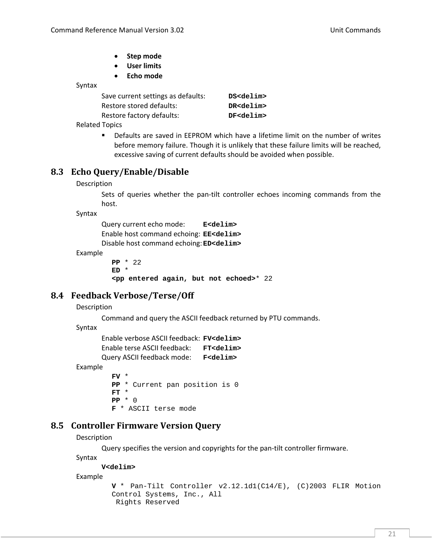- **Step mode**
- **User limits**
- **Echo mode**

Syntax

| Save current settings as defaults: | DS <delim></delim> |
|------------------------------------|--------------------|
| Restore stored defaults:           | DR <delim></delim> |
| Restore factory defaults:          | DF <delim></delim> |
| l <del>T</del> antas               |                    |

Related Topics

 Defaults are saved in EEPROM which have a lifetime limit on the number of writes before memory failure. Though it is unlikely that these failure limits will be reached, excessive saving of current defaults should be avoided when possible.

# **8.3 Echo Query/Enable/Disable**

#### Description

Sets of queries whether the pan-tilt controller echoes incoming commands from the host.

Syntax

Query current echo mode: **E<delim>** Enable host command echoing: **EE<delim>** Disable host command echoing:**ED<delim>**

Example

**PP** \* 22 **ED** \* **<pp entered again, but not echoed>**\* 22

# **8.4 Feedback Verbose/Terse/Off**

## Description

Command and query the ASCII feedback returned by PTU commands.

Syntax

```
Enable verbose ASCII feedback: FV<delim>
Enable terse ASCII feedback:   FT<delim>
Query ASCII feedback mode: F<delim>
```
Example

**FV** \* **PP** \* Current pan position is 0 **FT** \* **PP** \* 0 **F** \* ASCII terse mode

# **8.5 Controller Firmware Version Query**

Description

Query specifies the version and copyrights for the pan-tilt controller firmware.

Syntax

**V<delim>** 

Example

```
V * Pan-Tilt Controller v2.12.1d1(C14/E), (C)2003 FLIR Motion 
Control Systems, Inc., All 
  Rights Reserved
```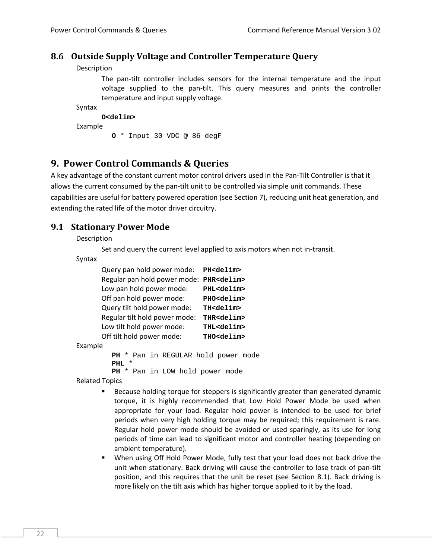## **8.6 Outside Supply Voltage and Controller Temperature Query**

Description

The pan-tilt controller includes sensors for the internal temperature and the input voltage supplied to the pan‐tilt. This query measures and prints the controller temperature and input supply voltage.

```
Syntax
```
**O<delim>**  Example **O** \* Input 30 VDC @ 86 degF

# **9. Power Control Commands & Queries**

A key advantage of the constant current motor control drivers used in the Pan‐Tilt Controller is that it allows the current consumed by the pan‐tilt unit to be controlled via simple unit commands. These capabilities are useful for battery powered operation (see Section 7), reducing unit heat generation, and extending the rated life of the motor driver circuitry.

## **9.1 Stationary Power Mode**

Description

Set and query the current level applied to axis motors when not in‐transit.

Syntax

```
Query pan hold power mode:   PH<delim>
Regular pan hold power mode:  PHR<delim>
Low pan hold power mode:   PHL<delim>
Off pan hold power mode:   PHO<delim>
Query tilt hold power mode:   TH<delim>
Regular tilt hold power mode:   THR<delim>
Low tilt hold power mode:   THL<delim>
Off tilt hold power mode:   THO<delim>
```
Example

```
PH * Pan in REGULAR hold power mode 
PHL * 
PH * Pan in LOW hold power mode
```
Related Topics

- Because holding torque for steppers is significantly greater than generated dynamic torque, it is highly recommended that Low Hold Power Mode be used when appropriate for your load. Regular hold power is intended to be used for brief periods when very high holding torque may be required; this requirement is rare. Regular hold power mode should be avoided or used sparingly, as its use for long periods of time can lead to significant motor and controller heating (depending on ambient temperature).
- When using Off Hold Power Mode, fully test that your load does not back drive the unit when stationary. Back driving will cause the controller to lose track of pan‐tilt position, and this requires that the unit be reset (see Section 8.1). Back driving is more likely on the tilt axis which has higher torque applied to it by the load.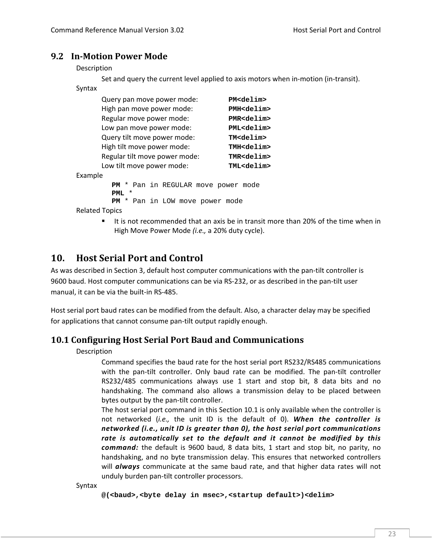## **9.2 In‐Motion Power Mode**

Description

Set and query the current level applied to axis motors when in-motion (in-transit).

| Syntax   |                                            |                     |
|----------|--------------------------------------------|---------------------|
|          | Query pan move power mode:                 | PM <delim></delim>  |
|          | High pan move power mode:                  | PMH <delim></delim> |
|          | Regular move power mode:                   | PMR <delim></delim> |
|          | Low pan move power mode:                   | PML < delim         |
|          | Query tilt move power mode:                | TM <delim></delim>  |
|          | High tilt move power mode:                 | TMH <delim></delim> |
|          | Regular tilt move power mode:              | TMR <delim></delim> |
|          | Low tilt move power mode:                  | TML <delim></delim> |
| Example  |                                            |                     |
|          | <b>PM</b> * Pan in REGULAR move power mode |                     |
| PML<br>* |                                            |                     |
|          | * Pan in LOW move power mode<br>PМ         |                     |

Related Topics

 It is not recommended that an axis be in transit more than 20% of the time when in High Move Power Mode *(i.e.,* a 20% duty cycle).

# **10. Host Serial Port and Control**

As was described in Section 3, default host computer communications with the pan‐tilt controller is 9600 baud. Host computer communications can be via RS‐232, or as described in the pan‐tilt user manual, it can be via the built‐in RS‐485.

Host serial port baud rates can be modified from the default. Also, a character delay may be specified for applications that cannot consume pan-tilt output rapidly enough.

# **10.1 Configuring Host Serial Port Baud and Communications**

Description

Command specifies the baud rate for the host serial port RS232/RS485 communications with the pan-tilt controller. Only baud rate can be modified. The pan-tilt controller RS232/485 communications always use 1 start and stop bit, 8 data bits and no handshaking. The command also allows a transmission delay to be placed between bytes output by the pan‐tilt controller.

The host serial port command in this Section 10.1 is only available when the controller is not networked (*i.e.,* the unit ID is the default of 0). *When the controller is networked (i.e., unit ID is greater than 0), the host serial port communications rate is automatically set to the default and it cannot be modified by this command:* the default is 9600 baud, 8 data bits, 1 start and stop bit, no parity, no handshaking, and no byte transmission delay. This ensures that networked controllers will *always* communicate at the same baud rate, and that higher data rates will not unduly burden pan‐tilt controller processors.

Syntax

**@(<baud>,<byte delay in msec>,<startup default>)<delim>**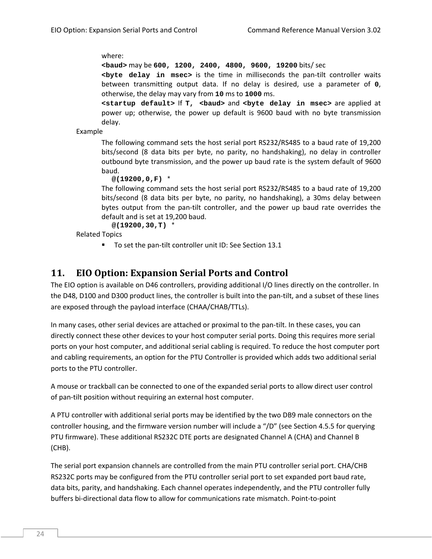where:

**<baud>** may be **600, 1200, 2400, 4800, 9600, 19200** bits/ sec

**<byte delay in msec>** is the time in milliseconds the pan‐tilt controller waits between transmitting output data. If no delay is desired, use a parameter of **0**, otherwise, the delay may vary from **10** ms to **1000** ms.

**<startup default>** If **T, <baud>** and **<byte delay in msec>** are applied at power up; otherwise, the power up default is 9600 baud with no byte transmission delay.

Example

The following command sets the host serial port RS232/RS485 to a baud rate of 19,200 bits/second (8 data bits per byte, no parity, no handshaking), no delay in controller outbound byte transmission, and the power up baud rate is the system default of 9600 baud.

**@(19200,0,F)** \*

The following command sets the host serial port RS232/RS485 to a baud rate of 19,200 bits/second (8 data bits per byte, no parity, no handshaking), a 30ms delay between bytes output from the pan-tilt controller, and the power up baud rate overrides the default and is set at 19,200 baud.

**@(19200,30,T)** \*

Related Topics

■ To set the pan-tilt controller unit ID: See Section 13.1

# **11. EIO Option: Expansion Serial Ports and Control**

The EIO option is available on D46 controllers, providing additional I/O lines directly on the controller. In the D48, D100 and D300 product lines, the controller is built into the pan‐tilt, and a subset of these lines are exposed through the payload interface (CHAA/CHAB/TTLs).

In many cases, other serial devices are attached or proximal to the pan-tilt. In these cases, you can directly connect these other devices to your host computer serial ports. Doing this requires more serial ports on your host computer, and additional serial cabling is required. To reduce the host computer port and cabling requirements, an option for the PTU Controller is provided which adds two additional serial ports to the PTU controller.

A mouse or trackball can be connected to one of the expanded serial ports to allow direct user control of pan‐tilt position without requiring an external host computer.

A PTU controller with additional serial ports may be identified by the two DB9 male connectors on the controller housing, and the firmware version number will include a "/D" (see Section 4.5.5 for querying PTU firmware). These additional RS232C DTE ports are designated Channel A (CHA) and Channel B (CHB).

The serial port expansion channels are controlled from the main PTU controller serial port. CHA/CHB RS232C ports may be configured from the PTU controller serial port to set expanded port baud rate, data bits, parity, and handshaking. Each channel operates independently, and the PTU controller fully buffers bi‐directional data flow to allow for communications rate mismatch. Point‐to‐point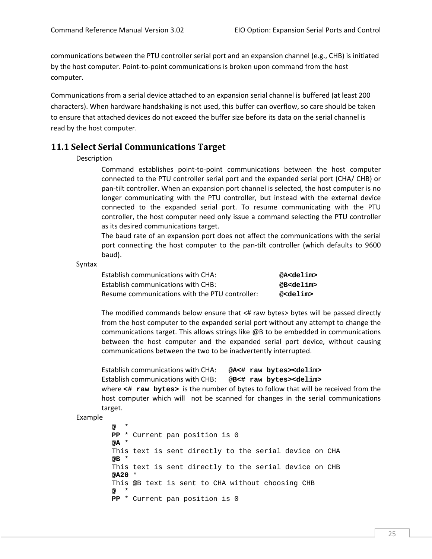communications between the PTU controller serial port and an expansion channel (e.g., CHB) is initiated by the host computer. Point‐to‐point communications is broken upon command from the host computer.

Communications from a serial device attached to an expansion serial channel is buffered (at least 200 characters). When hardware handshaking is not used, this buffer can overflow, so care should be taken to ensure that attached devices do not exceed the buffer size before its data on the serial channel is read by the host computer.

## **11.1 Select Serial Communications Target**

#### Description

Command establishes point‐to‐point communications between the host computer connected to the PTU controller serial port and the expanded serial port (CHA/ CHB) or pan‐tilt controller. When an expansion port channel is selected, the host computer is no longer communicating with the PTU controller, but instead with the external device connected to the expanded serial port. To resume communicating with the PTU controller, the host computer need only issue a command selecting the PTU controller as its desired communications target.

The baud rate of an expansion port does not affect the communications with the serial port connecting the host computer to the pan‐tilt controller (which defaults to 9600 baud).

Syntax

| Establish communications with CHA:             | @A <delim></delim> |
|------------------------------------------------|--------------------|
| Establish communications with CHB:             | @B <delim></delim> |
| Resume communications with the PTU controller: | @ <delim></delim>  |

The modified commands below ensure that  $\lt\#$  raw bytes $>$  bytes will be passed directly from the host computer to the expanded serial port without any attempt to change the communications target. This allows strings like @B to be embedded in communications between the host computer and the expanded serial port device, without causing communications between the two to be inadvertently interrupted.

Establish communications with CHA: **@A<# raw bytes><delim>**  Establish communications with CHB: **@B<# raw bytes><delim>**  where **<# raw bytes>** is the number of bytes to follow that will be received from the host computer which will not be scanned for changes in the serial communications target.

#### Example

**@** \* **PP** \* Current pan position is 0 **@A** \* This text is sent directly to the serial device on CHA **@B** \* This text is sent directly to the serial device on CHB **@A20** \* This @B text is sent to CHA without choosing CHB **@** \* **PP** \* Current pan position is 0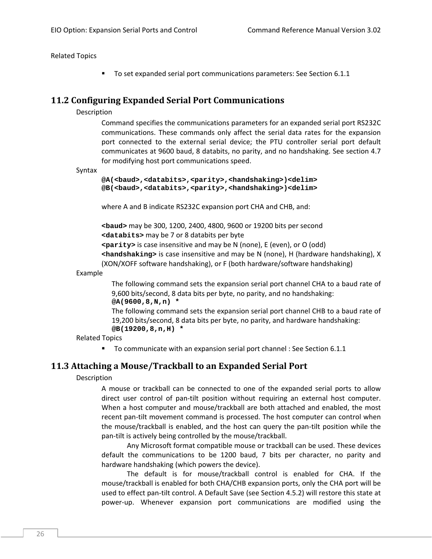Related Topics

To set expanded serial port communications parameters: See Section 6.1.1

## **11.2 Configuring Expanded Serial Port Communications**

#### Description

Command specifies the communications parameters for an expanded serial port RS232C communications. These commands only affect the serial data rates for the expansion port connected to the external serial device; the PTU controller serial port default communicates at 9600 baud, 8 databits, no parity, and no handshaking. See section 4.7 for modifying host port communications speed.

#### Syntax

```
@A(<baud>,<databits>,<parity>,<handshaking>)<delim> 
@B(<baud>,<databits>,<parity>,<handshaking>)<delim>
```
where A and B indicate RS232C expansion port CHA and CHB, and:

**<baud>** may be 300, 1200, 2400, 4800, 9600 or 19200 bits per second **<databits>** may be 7 or 8 databits per byte

**<parity>** is case insensitive and may be N (none), E (even), or O (odd)

**<handshaking>** is case insensitive and may be N (none), H (hardware handshaking), X (XON/XOFF software handshaking), or F (both hardware/software handshaking)

Example

The following command sets the expansion serial port channel CHA to a baud rate of 9,600 bits/second, 8 data bits per byte, no parity, and no handshaking: **@A(9600,8,N,n) \*** 

The following command sets the expansion serial port channel CHB to a baud rate of 19,200 bits/second, 8 data bits per byte, no parity, and hardware handshaking: **@B(19200,8,n,H) \*** 

Related Topics

■ To communicate with an expansion serial port channel : See Section 6.1.1

# **11.3 Attaching a Mouse/Trackball to an Expanded Serial Port**

## Description

A mouse or trackball can be connected to one of the expanded serial ports to allow direct user control of pan‐tilt position without requiring an external host computer. When a host computer and mouse/trackball are both attached and enabled, the most recent pan‐tilt movement command is processed. The host computer can control when the mouse/trackball is enabled, and the host can query the pan‐tilt position while the pan‐tilt is actively being controlled by the mouse/trackball.

Any Microsoft format compatible mouse or trackball can be used. These devices default the communications to be 1200 baud, 7 bits per character, no parity and hardware handshaking (which powers the device).

The default is for mouse/trackball control is enabled for CHA. If the mouse/trackball is enabled for both CHA/CHB expansion ports, only the CHA port will be used to effect pan‐tilt control. A Default Save (see Section 4.5.2) will restore this state at power‐up. Whenever expansion port communications are modified using the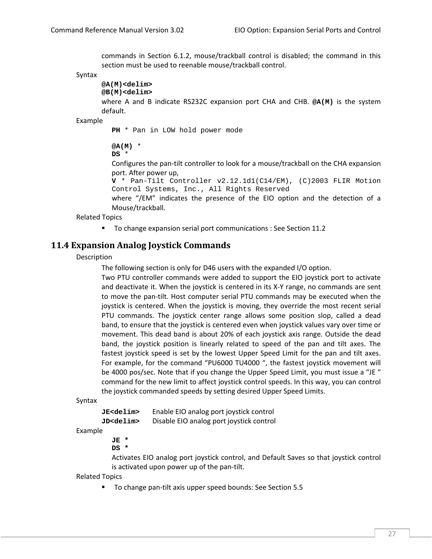commands in Section 6.1.2, mouse/trackball control is disabled; the command in this section must be used to reenable mouse/trackball control.

Syntax

```
@A(M)<delim> 
@B(M)<delim>
```
where A and B indicate RS232C expansion port CHA and CHB. **@A(M)** is the system default.

Example

**PH** \* Pan in LOW hold power mode

**@A(M)** \*

**DS** \*

Configures the pan‐tilt controller to look for a mouse/trackball on the CHA expansion port. After power up,

**V** \* Pan-Tilt Controller v2.12.1d1(C14/EM), (C)2003 FLIR Motion Control Systems, Inc., All Rights Reserved

where "/EM" indicates the presence of the EIO option and the detection of a Mouse/trackball.

Related Topics

To change expansion serial port communications : See Section 11.2

## **11.4 Expansion Analog Joystick Commands**

Description

The following section is only for D46 users with the expanded I/O option.

Two PTU controller commands were added to support the EIO joystick port to activate and deactivate it. When the joystick is centered in its X-Y range, no commands are sent to move the pan‐tilt. Host computer serial PTU commands may be executed when the joystick is centered. When the joystick is moving, they override the most recent serial PTU commands. The joystick center range allows some position slop, called a dead band, to ensure that the joystick is centered even when joystick values vary over time or movement. This dead band is about 20% of each joystick axis range. Outside the dead band, the joystick position is linearly related to speed of the pan and tilt axes. The fastest joystick speed is set by the lowest Upper Speed Limit for the pan and tilt axes. For example, for the command "PU6000 TU4000 ", the fastest joystick movement will be 4000 pos/sec. Note that if you change the Upper Speed Limit, you must issue a "JE " command for the new limit to affect joystick control speeds. In this way, you can control the joystick commanded speeds by setting desired Upper Speed Limits.

Syntax

**JE<delim>** Enable EIO analog port joystick control **JD<delim>** Disable EIO analog port joystick control

Example

**JE \*** 

**DS \*** 

Activates EIO analog port joystick control, and Default Saves so that joystick control is activated upon power up of the pan-tilt.

Related Topics

■ To change pan-tilt axis upper speed bounds: See Section 5.5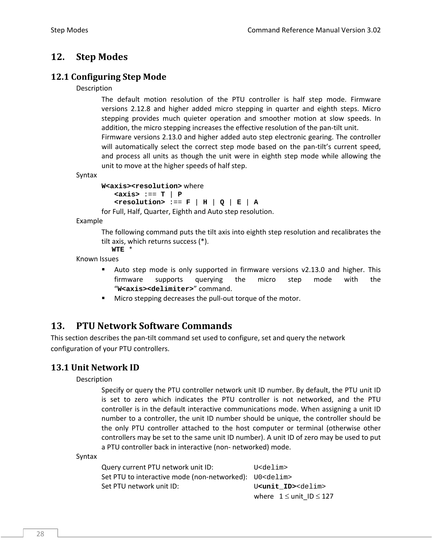# **12. Step Modes**

# **12.1 Configuring Step Mode**

## Description

The default motion resolution of the PTU controller is half step mode. Firmware versions 2.12.8 and higher added micro stepping in quarter and eighth steps. Micro stepping provides much quieter operation and smoother motion at slow speeds. In addition, the micro stepping increases the effective resolution of the pan-tilt unit. Firmware versions 2.13.0 and higher added auto step electronic gearing. The controller will automatically select the correct step mode based on the pan-tilt's current speed,

and process all units as though the unit were in eighth step mode while allowing the

Syntax

```
W<axis><resolution> where
    <axis> :== T | P 
   \leqPESOLUTION> :== F | H | Q | E | A
for Full, Half, Quarter, Eighth and Auto step resolution.
```
unit to move at the higher speeds of half step.

Example

The following command puts the tilt axis into eighth step resolution and recalibrates the tilt axis, which returns success (\*).

**WTE** \*

Known Issues

- Auto step mode is only supported in firmware versions v2.13.0 and higher. This firmware supports querying the micro step mode with the "**W<axis><delimiter>**" command.
- Micro stepping decreases the pull‐out torque of the motor.

# **13. PTU Network Software Commands**

This section describes the pan-tilt command set used to configure, set and query the network configuration of your PTU controllers.

# **13.1 Unit Network ID**

Description

Specify or query the PTU controller network unit ID number. By default, the PTU unit ID is set to zero which indicates the PTU controller is not networked, and the PTU controller is in the default interactive communications mode. When assigning a unit ID number to a controller, the unit ID number should be unique, the controller should be the only PTU controller attached to the host computer or terminal (otherwise other controllers may be set to the same unit ID number). A unit ID of zero may be used to put a PTU controller back in interactive (non‐ networked) mode.

Syntax

| Query current PTU network unit ID: | U <delim></delim>                        |
|------------------------------------|------------------------------------------|
|                                    |                                          |
| Set PTU network unit ID:           | U <unit id=""><delim></delim></unit>     |
|                                    | where $1 \leq \text{unit}$ ID $\leq 127$ |